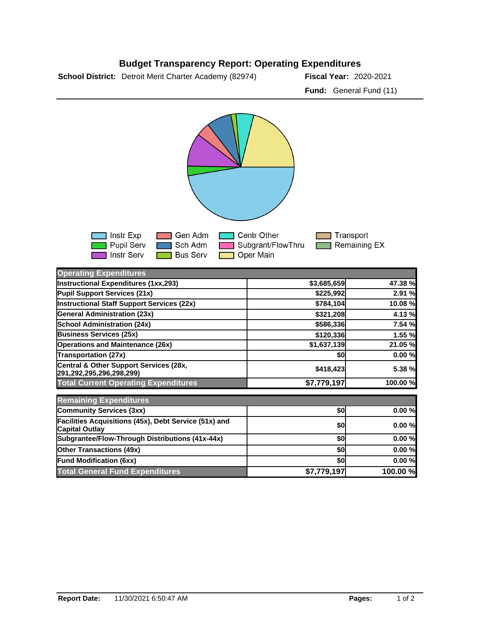

## **Budget Transparency Report: Operating Expenditures**



| <b>Operating Expenditures</b>                                                  |             |          |
|--------------------------------------------------------------------------------|-------------|----------|
| Instructional Expenditures (1xx,293)                                           | \$3,685,659 | 47.38 %  |
| Pupil Support Services (21x)                                                   | \$225,992   | 2.91 %   |
| Instructional Staff Support Services (22x)                                     | \$784,104   | 10.08 %  |
| <b>General Administration (23x)</b>                                            | \$321,208   | 4.13 %   |
| <b>School Administration (24x)</b>                                             | \$586,336   | 7.54 %   |
| <b>Business Services (25x)</b>                                                 | \$120,336   | 1.55 %   |
| <b>Operations and Maintenance (26x)</b>                                        | \$1,637,139 | 21.05 %  |
| <b>Transportation (27x)</b>                                                    | \$0         | 0.00%    |
| Central & Other Support Services (28x,<br>291,292,295,296,298,299)             | \$418,423   | 5.38 %   |
| <b>Total Current Operating Expenditures</b>                                    | \$7,779,197 | 100.00 % |
| <b>Remaining Expenditures</b>                                                  |             |          |
| <b>Community Services (3xx)</b>                                                | \$0         | 0.00%    |
| Facilities Acquisitions (45x), Debt Service (51x) and<br><b>Capital Outlay</b> | \$0         | 0.00%    |
| Subgrantee/Flow-Through Distributions (41x-44x)                                | \$0         | 0.00%    |
| <b>Other Transactions (49x)</b>                                                | \$0         | 0.00%    |
| <b>Fund Modification (6xx)</b>                                                 | \$0         | 0.00%    |
| <b>Total General Fund Expenditures</b>                                         | \$7,779,197 | 100.00 % |